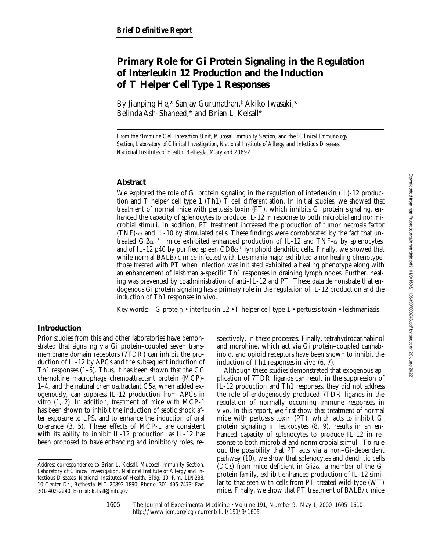# **Primary Role for Gi Protein Signaling in the Regulation of Interleukin 12 Production and the Induction of T Helper Cell Type 1 Responses**

By Jianping He,\* Sanjay Gurunathan,‡ Akiko Iwasaki,\* Belinda Ash-Shaheed,\* and Brian L. Kelsall\*

*From the \*Immune Cell Interaction Unit, Mucosal Immunity Section, and the <sup>‡</sup>Clinical Immunology Section, Laboratory of Clinical Investigation, National Institute of Allergy and Infectious Diseases, National Institutes of Health, Bethesda, Maryland 20892*

## **Abstract**

We explored the role of Gi protein signaling in the regulation of interleukin (IL)-12 production and T helper cell type 1 (Th1) T cell differentiation. In initial studies, we showed that treatment of normal mice with pertussis toxin (PT), which inhibits Gi protein signaling, enhanced the capacity of splenocytes to produce IL-12 in response to both microbial and nonmicrobial stimuli. In addition, PT treatment increased the production of tumor necrosis factor (TNF)- $\alpha$  and IL-10 by stimulated cells. These findings were corroborated by the fact that untreated Gi2 $\alpha$ <sup>-/-</sup> mice exhibited enhanced production of IL-12 and TNF- $\alpha$  by splenocytes, and of IL-12 p40 by purified spleen  $CD8\alpha^+$  lymphoid dendritic cells. Finally, we showed that while normal BALB/c mice infected with *Leishmania major* exhibited a nonhealing phenotype, those treated with PT when infection was initiated exhibited a healing phenotype along with an enhancement of leishmania-specific Th1 responses in draining lymph nodes. Further, healing was prevented by coadministration of anti–IL-12 and PT. These data demonstrate that endogenous Gi protein signaling has a primary role in the regulation of IL-12 production and the induction of Th1 responses in vivo.

Key words: G protein • interleukin 12 • T helper cell type 1 • pertussis toxin • leishmaniasis

## **Introduction**

Prior studies from this and other laboratories have demonstrated that signaling via Gi protein–coupled seven transmembrane domain receptors (7TDR) can inhibit the production of IL-12 by APCs and the subsequent induction of Th1 responses  $(1-5)$ . Thus, it has been shown that the CC chemokine macrophage chemoattractant protein (MCP)- 1–4, and the natural chemoattractant C5a, when added exogenously, can suppress IL-12 production from APCs in vitro (1, 2). In addition, treatment of mice with MCP-1 has been shown to inhibit the induction of septic shock after exposure to LPS, and to enhance the induction of oral tolerance (3, 5). These effects of MCP-1 are consistent with its ability to inhibit IL-12 production, as IL-12 has been proposed to have enhancing and inhibitory roles, respectively, in these processes. Finally, tetrahydrocannabinol and morphine, which act via Gi protein–coupled cannabinoid, and opioid receptors have been shown to inhibit the induction of Th1 responses in vivo (6, 7).

Although these studies demonstrated that exogenous application of 7TDR ligands can result in the suppression of IL-12 production and Th1 responses, they did not address the role of endogenously produced 7TDR ligands in the regulation of normally occurring immune responses in vivo. In this report, we first show that treatment of normal mice with pertussis toxin (PT), which acts to inhibit Gi protein signaling in leukocytes (8, 9), results in an enhanced capacity of splenocytes to produce IL-12 in response to both microbial and nonmicrobial stimuli. To rule out the possibility that PT acts via a non–Gi-dependent pathway (10), we show that splenocytes and dendritic cells (DCs) from mice deficient in  $Gi2\alpha$ , a member of the Gi protein family, exhibit enhanced production of IL-12 similar to that seen with cells from PT-treated wild-type (WT) mice. Finally, we show that PT treatment of BALB/c mice

The Journal of Experimental Medicine • Volume 191, Number 9, May 1, 2000 1605–1610 http://www.jem.org/cgi/current/full/191/9/1605

Address correspondence to Brian L. Kelsall, Mucosal Immunity Section, Laboratory of Clinical Investigation, National Institute of Allergy and Infectious Diseases, National Institutes of Health, Bldg. 10, Rm. 11N238, 10 Center Dr., Bethesda, MD 20892-1890. Phone: 301-496-7473; Fax: 301-402-2240; E-mail: kelsall@nih.gov

<sup>1605</sup>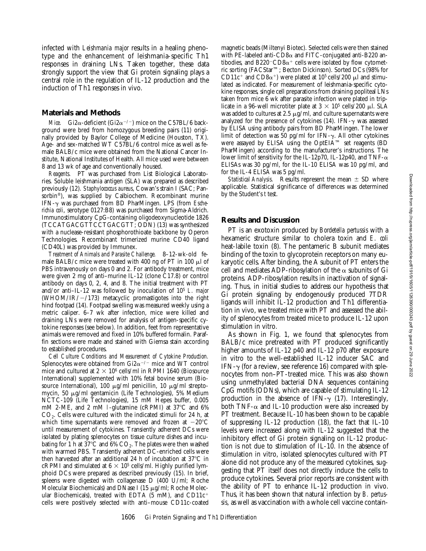infected with *Leishmania major* results in a healing phenotype and the enhancement of leishmania-specific Th1 responses in draining LNs. Taken together, these data strongly support the view that Gi protein signaling plays a central role in the regulation of IL-12 production and the induction of Th1 responses in vivo.

#### **Materials and Methods**

*Mice.* Gi2 $\alpha$ -deficient (Gi2 $\alpha$ <sup>-/-</sup>) mice on the C57BL/6 background were bred from homozygous breeding pairs (11) originally provided by Baylor College of Medicine (Houston, TX). Age- and sex-matched WT C57BL/6 control mice as well as female BALB/c mice were obtained from the National Cancer Institute, National Institutes of Health. All mice used were between 8 and 13 wk of age and conventionally housed.

*Reagents.* PT was purchased from List Biological Laboratories. Soluble leishmania antigen (SLA) was prepared as described previously (12). *Staphylococcus aureus*, Cowan's strain I (SAC; Pansorbin®), was supplied by Calbiochem. Recombinant murine IFN-g was purchased from BD PharMingen. LPS (from *Escherichia coli*, serotype 0127:B8) was purchased from Sigma-Aldrich. Immunostimulatory CpG-containing oligodeoxynucleotide 1826 (TCCATGACGTTCCTGACGTT; ODN) (13) was synthesized with a nuclease-resistant phosphorothioate backbone by Operon Technologies. Recombinant trimerized murine CD40 ligand (CD40L) was provided by Immunex.

*Treatment of Animals and Parasite Challenge.* 8–12-wk-old female BALB/c mice were treated with 400 ng of PT in 100  $\mu$ l of PBS intravenously on days 0 and 2. For antibody treatment, mice were given 2 mg of anti–murine IL-12 (clone C17.8) or control antibody on days 0, 2, 4, and 8. The initial treatment with PT and/or anti–IL-12 was followed by inoculation of 105 *L. major* (WHOM/IR/ $-$ /173) metacyclic promastigotes into the right hind footpad (14). Footpad swelling was measured weekly using a metric caliper. 6–7 wk after infection, mice were killed and draining LNs were removed for analysis of antigen-specific cytokine responses (see below). In addition, feet from representative animals were removed and fixed in 10% buffered formalin. Paraffin sections were made and stained with Giemsa stain according to established procedures.

*Cell Culture Conditions and Measurement of Cytokine Production.* Splenocytes were obtained from Gi2 $\alpha$ <sup>-/-</sup> mice and WT control mice and cultured at  $2 \times 10^6$  cells/ml in RPMI 1640 (Biosource International) supplemented with 10% fetal bovine serum (Biosource International), 100  $\mu$ g/ml penicillin, 10  $\mu$ g/ml streptomycin, 50 mg/ml gentamicin (Life Technologies), 5% Medium NCTC-109 (Life Technologies), 15 mM Hepes buffer, 0.005 mM 2-ME, and 2 mM 1-glutamine (cRPMI) at  $37^{\circ}$ C and 6%  $CO<sub>2</sub>$ . Cells were cultured with the indicated stimuli for 24 h, at which time supernatants were removed and frozen at  $-20^{\circ}$ C until measurement of cytokines. Transiently adherent DCs were isolated by plating splenocytes on tissue culture dishes and incubating for 1 h at 37°C and 6%  $CO<sub>2</sub>$ . The plates were then washed with warmed PBS. Transiently adherent DC-enriched cells were then harvested after an additional 24 h of incubation at  $37^{\circ}$ C in cRPMI and stimulated at  $6 \times 10^5$  cells/ml. Highly purified lymphoid DCs were prepared as described previously (15). In brief, spleens were digested with collagenase D (400 U/ml; Roche Molecular Biochemicals) and DNase I (15  $\mu$ g/ml; Roche Molecular Biochemicals), treated with EDTA  $(5 \text{ mM})$ , and CD11c<sup>+</sup> cells were positively selected with anti–mouse CD11c-coated

magnetic beads (Miltenyi Biotec). Selected cells were then stained with PE-labeled anti-CD8 $\alpha$  and FITC-conjugated anti-B220 antibodies, and B220<sup>-</sup>CD8 $\alpha$ <sup>+</sup> cells were isolated by flow cytometric sorting (FACStar™; Becton Dickinson). Sorted DCs (98% for CD11c<sup>+</sup> and CD8 $\alpha$ <sup>+</sup>) were plated at 10<sup>5</sup> cells/200  $\mu$ l and stimulated as indicated. For measurement of leishmania-specific cytokine responses, single cell preparations from draining popliteal LNs taken from mice 6 wk after parasite infection were plated in triplicate in a 96-well microtiter plate at  $3 \times 10^5$  cells/200 µl. SLA was added to cultures at 2.5  $\mu$ g/ml, and culture supernatants were analyzed for the presence of cytokines (14). IFN- $\gamma$  was assessed by ELISA using antibody pairs from BD PharMingen. The lower limit of detection was 50 pg/ml for IFN- $\gamma$ . All other cytokines were assayed by ELISA using the OptEIA™ set reagents (BD PharMingen) according to the manufacturer's instructions. The lower limit of sensitivity for the IL-12p70, IL-12p40, and TNF- $\alpha$ ELISAs was 30 pg/ml, for the IL-10 ELISA was 10 pg/ml, and for the IL-4 ELISA was 5 pg/ml.

*Statistical Analysis.* Results represent the mean  $\pm$  SD where applicable. Statistical significance of differences was determined by the Student's *t* test.

#### **Results and Discussion**

PT is an exotoxin produced by *Bordetella pertussis* with a hexameric structure similar to cholera toxin and *E. coli* heat-labile toxin (8). The pentameric B subunit mediates binding of the toxin to glycoprotein receptors on many eukaryotic cells. After binding, the A subunit of PT enters the cell and mediates ADP-ribosylation of the  $\alpha$  subunits of Gi proteins. ADP-ribosylation results in inactivation of signaling. Thus, in initial studies to address our hypothesis that Gi protein signaling by endogenously produced 7TDR ligands will inhibit IL-12 production and Th1 differentiation in vivo, we treated mice with PT and assessed the ability of splenocytes from treated mice to produce IL-12 upon stimulation in vitro.

As shown in Fig. 1, we found that splenocytes from BALB/c mice pretreated with PT produced significantly higher amounts of IL-12 p40 and IL-12 p70 after exposure in vitro to the well-established IL-12 inducer SAC and IFN- $\gamma$  (for a review, see reference 16) compared with splenocytes from non–PT-treated mice. This was also shown using unmethylated bacterial DNA sequences containing CpG motifs (ODNs), which are capable of stimulating IL-12 production in the absence of IFN- $\gamma$  (17). Interestingly, both TNF- $\alpha$  and IL-10 production were also increased by PT treatment. Because IL-10 has been shown to be capable of suppressing IL-12 production (18), the fact that IL-10 levels were increased along with IL-12 suggested that the inhibitory effect of Gi protein signaling on IL-12 production is not due to stimulation of IL-10. In the absence of stimulation in vitro, isolated splenocytes cultured with PT alone did not produce any of the measured cytokines, suggesting that PT itself does not directly induce the cells to produce cytokines. Several prior reports are consistent with the ability of PT to enhance IL-12 production in vivo. Thus, it has been shown that natural infection by *B. pertussis*, as well as vaccination with a whole cell vaccine contain-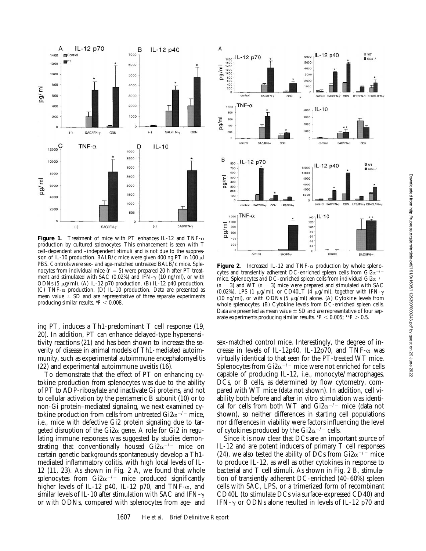

**Figure 1.** Treatment of mice with PT enhances IL-12 and TNF- $\alpha$ production by cultured splenocytes. This enhancement is seen with T cell–dependent and –independent stimuli and is not due to the suppression of IL-10 production. BALB/c mice were given 400 ng PT in 100  $\mu$ l PBS. Controls were sex- and age-matched untreated BALB/c mice. Splenocytes from individual mice  $(n = 5)$  were prepared 20 h after PT treatment and stimulated with SAC (0.02%) and IFN- $\gamma$  (10 ng/ml), or with ODNs (5  $\mu$ g/ml). (A) IL-12 p70 production. (B) IL-12 p40 production. (C) TNF- $\alpha$  production. (D) IL-10 production. Data are presented as mean value  $\pm$  SD and are representative of three separate experiments producing similar results.  $*P < 0.008$ .

ing PT, induces a Th1-predominant T cell response (19, 20). In addition, PT can enhance delayed-type hypersensitivity reactions (21) and has been shown to increase the severity of disease in animal models of Th1-mediated autoimmunity, such as experimental autoimmune encephalomyelitis (22) and experimental autoimmune uveitis (16).

To demonstrate that the effect of PT on enhancing cytokine production from splenocytes was due to the ability of PT to ADP-ribosylate and inactivate Gi proteins, and not to cellular activation by the pentameric B subunit (10) or to non-Gi protein–mediated signaling, we next examined cytokine production from cells from untreated  $Gi2\alpha^{-/-}$  mice, i.e., mice with defective Gi2 protein signaling due to targeted disruption of the Gi2 $\alpha$  gene. A role for Gi2 in regulating immune responses was suggested by studies demonstrating that conventionally housed  $Gi2\alpha^{-/-}$  mice on certain genetic backgrounds spontaneously develop a Th1 mediated inflammatory colitis, with high local levels of IL-12 (11, 23). As shown in Fig. 2 A, we found that whole splenocytes from Gi2 $\alpha$ <sup>-/-</sup> mice produced significantly higher levels of IL-12 p40, IL-12 p70, and TNF- $\alpha$ , and similar levels of IL-10 after stimulation with SAC and IFN- $\gamma$ or with ODNs, compared with splenocytes from age- and



**Figure 2.** Increased IL-12 and TNF- $\alpha$  production by whole splenocytes and transiently adherent DC-enriched spleen cells from  $Gi2\alpha^{-/-}$ mice. Splenocytes and DC-enriched spleen cells from individual Gi2 $\alpha$ <sup>-/-</sup>  $(n = 3)$  and WT  $(n = 3)$  mice were prepared and stimulated with SAC (0.02%), LPS (1  $\mu$ g/ml), or CD40LT (4  $\mu$ g/ml), together with IFN- $\gamma$ (10 ng/ml), or with ODNs (5  $\mu$ g/ml) alone. (A) Cytokine levels from whole splenocytes. (B) Cytokine levels from DC-enriched spleen cells. Data are presented as mean value  $\pm$  SD and are representative of four separate experiments producing similar results.  $*P < 0.005$ ;  $**P > 0.5$ .

sex-matched control mice. Interestingly, the degree of increase in levels of IL-12p40, IL-12p70, and TNF- $\alpha$  was virtually identical to that seen for the PT-treated WT mice. Splenocytes from Gi $2\alpha^{-/-}$  mice were not enriched for cells capable of producing IL-12, i.e., monocyte/macrophages, DCs, or B cells, as determined by flow cytometry, compared with WT mice (data not shown). In addition, cell viability both before and after in vitro stimulation was identical for cells from both WT and  $Gi2\alpha^{-/-}$  mice (data not shown), so neither differences in starting cell populations nor differences in viability were factors influencing the level of cytokines produced by the Gi2 $\alpha$ <sup>-/-</sup> cells.

Since it is now clear that DCs are an important source of IL-12 and are potent inducers of primary T cell responses (24), we also tested the ability of DCs from Gi2 $\alpha$ <sup>-/-</sup> mice to produce IL-12, as well as other cytokines in response to bacterial and T cell stimuli. As shown in Fig. 2 B, stimulation of transiently adherent DC-enriched (40–60%) spleen cells with SAC, LPS, or a trimerized form of recombinant CD40L (to stimulate DCs via surface-expressed CD40) and IFN- $\gamma$  or ODNs alone resulted in levels of IL-12 p70 and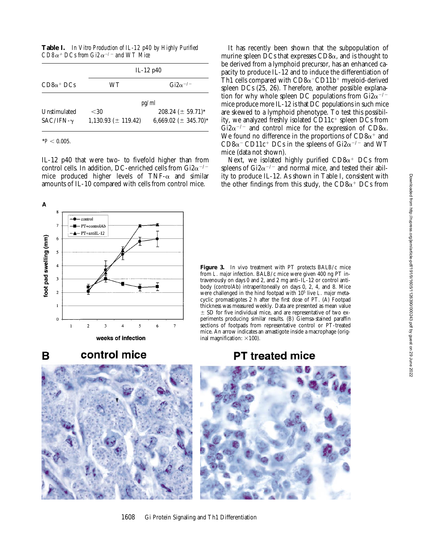**Table I.** *In Vitro Production of IL-12 p40 by Highly Purified CD8* $\alpha$ *<sup>+</sup> DCs from Gi2* $\alpha$ *<sup>-/-</sup> and WT Mice</sup>* 

| $CD8\alpha^+$ DCs | IL-12 $p40$             |                           |  |
|-------------------|-------------------------|---------------------------|--|
|                   | WТ                      | $\text{Gi2}\alpha^{-/-}$  |  |
|                   | pg/ml                   |                           |  |
| Unstimulated      | < 30                    | $208.24 \ (\pm 59.71)^*$  |  |
| $SAC/IFN-\gamma$  | $1,130.93 (\pm 119.42)$ | 6,669.02 ( $\pm$ 345.70)* |  |

 $*P < 0.005$ .

IL-12 p40 that were two- to fivefold higher than from control cells. In addition, DC-enriched cells from Gi2 $\alpha$ <sup>-/-</sup> mice produced higher levels of  $TNF-\alpha$  and similar amounts of IL-10 compared with cells from control mice.

A





It has recently been shown that the subpopulation of murine spleen DCs that expresses  $CD8\alpha$ , and is thought to be derived from a lymphoid precursor, has an enhanced capacity to produce IL-12 and to induce the differentiation of Th1 cells compared with  $CD8\alpha$ <sup>-</sup>CD11b<sup>+</sup> myeloid-derived spleen DCs (25, 26). Therefore, another possible explanation for why whole spleen DC populations from Gi $2\alpha^{-/-}$ mice produce more IL-12 is that DC populations in such mice are skewed to a lymphoid phenotype. To test this possibility, we analyzed freshly isolated  $CD11c^+$  spleen DCs from  $\tilde{\text{G}}$ i $2\alpha$ <sup>-/-</sup> and control mice for the expression of CD8 $\alpha$ . We found no difference in the proportions of  $CD8\alpha^+$  and CD8 $\alpha$ <sup>-</sup> CD11c<sup>+</sup> DCs in the spleens of Gi2 $\alpha$ <sup>-/-</sup> and WT mice (data not shown).

Next, we isolated highly purified  $CD8\alpha^+$  DCs from spleens of Gi2 $\alpha$ <sup>-/-</sup> and normal mice, and tested their ability to produce IL-12. As shown in Table I, consistent with the other findings from this study, the  $CD8\alpha^+$  DCs from

Figure 3. In vivo treatment with PT protects BALB/c mice from *L. major* infection. BALB/c mice were given 400 ng PT intravenously on days 0 and 2, and 2 mg anti–IL-12 or control antibody (controlAb) intraperitoneally on days 0, 2, 4, and 8. Mice were challenged in the hind footpad with 105 live *L. major* metacyclic promastigotes 2 h after the first dose of PT. (A) Footpad thickness was measured weekly. Data are presented as mean value  $\pm$  SD for five individual mice, and are representative of two experiments producing similar results. (B) Giemsa-stained paraffin sections of footpads from representative control or PT-treated mice. An arrow indicates an amastigote inside a macrophage (original magnification:  $\times$ 100).

## **PT treated mice**





1608 Gi Protein Signaling and Th1 Differentiation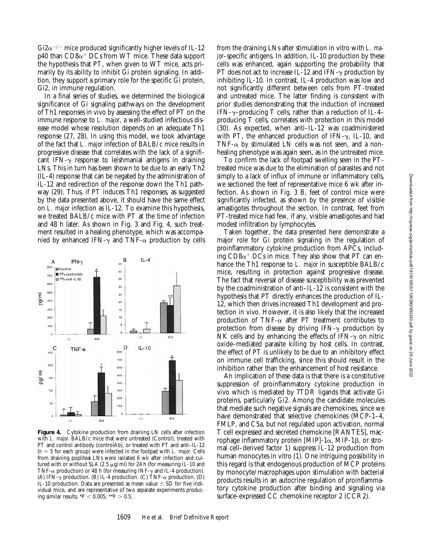$Gi2\alpha^{-/-}$  mice produced significantly higher levels of IL-12  $p40$  than  $CD8\alpha^+$  DCs from WT mice. These data support the hypothesis that PT, when given to WT mice, acts primarily by its ability to inhibit Gi protein signaling. In addition, they support a primary role for the specific Gi protein, Gi2, in immune regulation.

In a final series of studies, we determined the biological significance of Gi signaling pathways on the development of Th1 responses in vivo by assessing the effect of PT on the immune response to *L. major*, a well-studied infectious disease model whose resolution depends on an adequate Th1 response (27, 28). In using this model, we took advantage of the fact that *L. major* infection of BALB/c mice results in progressive disease that correlates with the lack of a significant IFN- $\gamma$  response to leishmanial antigens in draining LNs. This in turn has been shown to be due to an early Th2 (IL-4) response that can be negated by the administration of IL-12 and redirection of the response down the Th1 pathway (29). Thus, if PT induces Th1 responses, as suggested by the data presented above, it should have the same effect on *L. major* infection as IL-12. To examine this hypothesis, we treated BALB/c mice with PT at the time of infection and 48 h later. As shown in Fig. 3 and Fig. 4, such treatment resulted in a healing phenotype, which was accompanied by enhanced IFN- $\gamma$  and TNF- $\alpha$  production by cells



Figure 4. Cytokine production from draining LN cells after infection with *L. major*. BALB/c mice that were untreated (Control), treated with PT and control antibody (controlAb), or treated with PT and anti–IL-12  $(n = 5$  for each group) were infected in the footpad with *L. major.* Cells from draining popliteal LNs were isolated 6 wk after infection and cultured with or without SLA (2.5  $\mu$ g/ml) for 24 h (for measuring IL-10 and TNF- $\alpha$  production) or 48 h (for measuring INF- $\gamma$  and IL-4 production). (A) IFN- $\gamma$  production. (B) IL-4 production. (C) TNF- $\alpha$  production. (D) IL-10 production. Data are presented as mean value  $\pm$  SD for five individual mice, and are representative of two separate experiments producing similar results.  $*P < 0.005$ ;  $*P > 0.5$ .

from the draining LNs after stimulation in vitro with *L. major*–specific antigens. In addition, IL-10 production by these cells was enhanced, again supporting the probability that PT does not act to increase IL-12 and IFN- $\gamma$  production by inhibiting IL-10. In contrast, IL-4 production was low and not significantly different between cells from PT-treated and untreated mice. The latter finding is consistent with prior studies demonstrating that the induction of increased IFN- $\gamma$ –producing T cells, rather than a reduction of IL-4– producing T cells, correlates with protection in this model (30). As expected, when anti–IL-12 was coadministered with PT, the enhanced production of IFN- $\gamma$ , IL-10, and TNF- $\alpha$  by stimulated LN cells was not seen, and a nonhealing phenotype was again seen, as in the untreated mice.

To confirm the lack of footpad swelling seen in the PTtreated mice was due to the elimination of parasites and not simply to a lack of influx of immune or inflammatory cells, we sectioned the feet of representative mice 6 wk after infection. As shown in Fig. 3 B, feet of control mice were significantly infected, as shown by the presence of visible amastigotes throughout the section. In contrast, feet from PT-treated mice had few, if any, visible amastigotes and had modest infiltration by lymphocytes.

Taken together, the data presented here demonstrate a major role for Gi protein signaling in the regulation of proinflammatory cytokine production from APCs, including  $CD8\alpha^+$  DCs in mice. They also show that PT can enhance the Th1 response to *L. major* in susceptible BALB/c mice, resulting in protection against progressive disease. The fact that reversal of disease susceptibility was prevented by the coadministration of anti–IL-12 is consistent with the hypothesis that PT directly enhances the production of IL-12, which then drives increased Th1 development and protection in vivo. However, it is also likely that the increased production of TNF- $\alpha$  after PT treatment contributes to protection from disease by driving IFN- $\gamma$  production by NK cells and by enhancing the effects of IFN- $\gamma$  on nitric oxide–mediated parasite killing by host cells. In contrast, the effect of PT is unlikely to be due to an inhibitory effect on immune cell trafficking, since this should result in the inhibition rather than the enhancement of host resistance.

An implication of these data is that there is a constitutive suppression of proinflammatory cytokine production in vivo which is mediated by 7TDR ligands that activate Gi proteins, particularly Gi2. Among the candidate molecules that mediate such negative signals are chemokines, since we have demonstrated that selective chemokines (MCP-1–4, FMLP, and C5a, but not regulated upon activation, normal T cell expressed and secreted chemokine [RANTES], macrophage inflammatory protein [MIP]-1 $\alpha$ , MIP-1 $\beta$ , or stromal cell–derived factor 1) suppress IL-12 production from human monocytes in vitro (1). One intriguing possibility in this regard is that endogenous production of MCP proteins by monocyte/macrophages upon stimulation with bacterial products results in an autocrine regulation of proinflammatory cytokine production after binding and signaling via surface-expressed CC chemokine receptor 2 (CCR2).